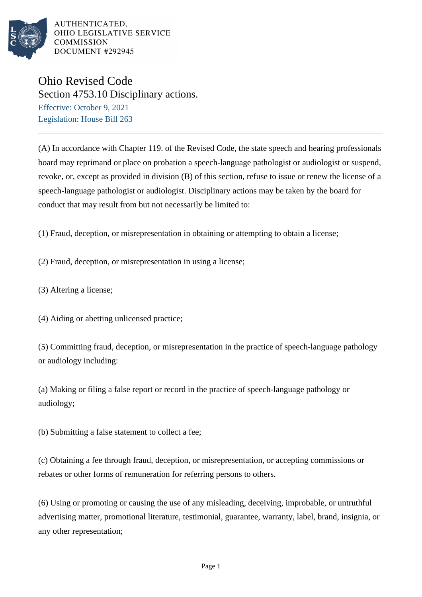

AUTHENTICATED. OHIO LEGISLATIVE SERVICE **COMMISSION** DOCUMENT #292945

## Ohio Revised Code

Section 4753.10 Disciplinary actions.

Effective: October 9, 2021 Legislation: House Bill 263

(A) In accordance with Chapter 119. of the Revised Code, the state speech and hearing professionals board may reprimand or place on probation a speech-language pathologist or audiologist or suspend, revoke, or, except as provided in division (B) of this section, refuse to issue or renew the license of a speech-language pathologist or audiologist. Disciplinary actions may be taken by the board for conduct that may result from but not necessarily be limited to:

(1) Fraud, deception, or misrepresentation in obtaining or attempting to obtain a license;

(2) Fraud, deception, or misrepresentation in using a license;

(3) Altering a license;

(4) Aiding or abetting unlicensed practice;

(5) Committing fraud, deception, or misrepresentation in the practice of speech-language pathology or audiology including:

(a) Making or filing a false report or record in the practice of speech-language pathology or audiology;

(b) Submitting a false statement to collect a fee;

(c) Obtaining a fee through fraud, deception, or misrepresentation, or accepting commissions or rebates or other forms of remuneration for referring persons to others.

(6) Using or promoting or causing the use of any misleading, deceiving, improbable, or untruthful advertising matter, promotional literature, testimonial, guarantee, warranty, label, brand, insignia, or any other representation;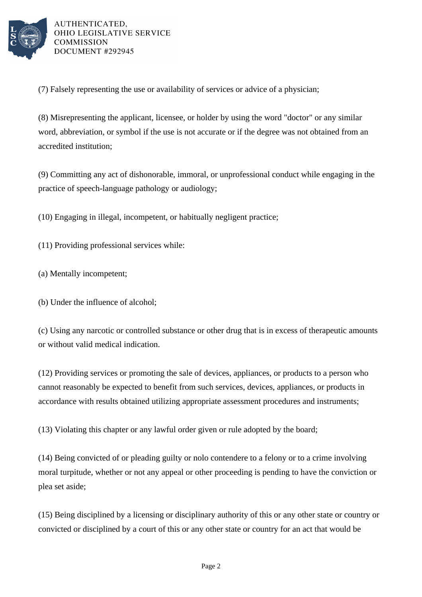

AUTHENTICATED. OHIO LEGISLATIVE SERVICE **COMMISSION** DOCUMENT #292945

(7) Falsely representing the use or availability of services or advice of a physician;

(8) Misrepresenting the applicant, licensee, or holder by using the word "doctor" or any similar word, abbreviation, or symbol if the use is not accurate or if the degree was not obtained from an accredited institution;

(9) Committing any act of dishonorable, immoral, or unprofessional conduct while engaging in the practice of speech-language pathology or audiology;

(10) Engaging in illegal, incompetent, or habitually negligent practice;

(11) Providing professional services while:

- (a) Mentally incompetent;
- (b) Under the influence of alcohol;

(c) Using any narcotic or controlled substance or other drug that is in excess of therapeutic amounts or without valid medical indication.

(12) Providing services or promoting the sale of devices, appliances, or products to a person who cannot reasonably be expected to benefit from such services, devices, appliances, or products in accordance with results obtained utilizing appropriate assessment procedures and instruments;

(13) Violating this chapter or any lawful order given or rule adopted by the board;

(14) Being convicted of or pleading guilty or nolo contendere to a felony or to a crime involving moral turpitude, whether or not any appeal or other proceeding is pending to have the conviction or plea set aside;

(15) Being disciplined by a licensing or disciplinary authority of this or any other state or country or convicted or disciplined by a court of this or any other state or country for an act that would be